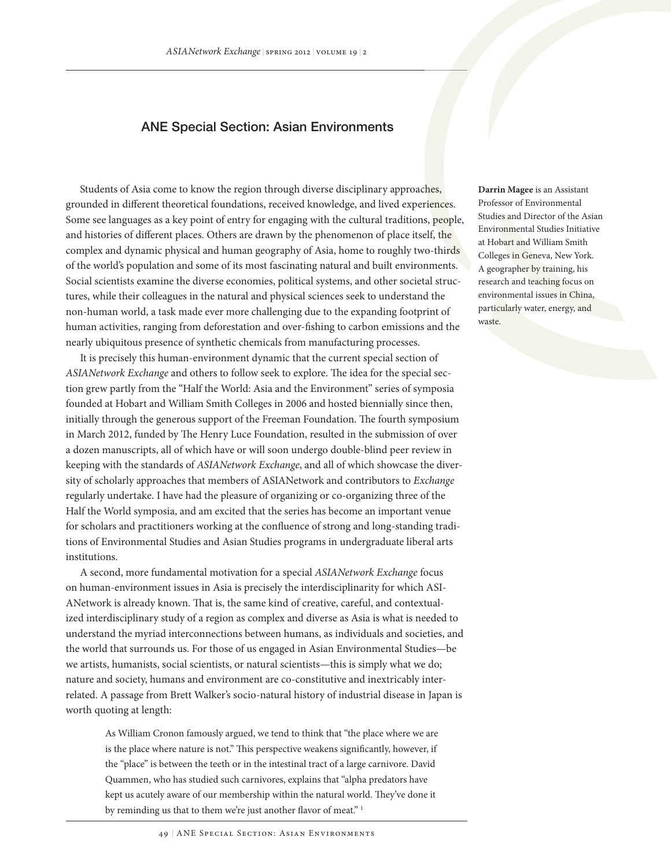## ANE Special Section: Asian Environments

Students of Asia come to know the region through diverse disciplinary approaches, grounded in different theoretical foundations, received knowledge, and lived experiences. Some see languages as a key point of entry for engaging with the cultural traditions, people, and histories of different places. Others are drawn by the phenomenon of place itself, the complex and dynamic physical and human geography of Asia, home to roughly two-thirds of the world's population and some of its most fascinating natural and built environments. Social scientists examine the diverse economies, political systems, and other societal structures, while their colleagues in the natural and physical sciences seek to understand the non-human world, a task made ever more challenging due to the expanding footprint of human activities, ranging from deforestation and over-fishing to carbon emissions and the nearly ubiquitous presence of synthetic chemicals from manufacturing processes.

It is precisely this human-environment dynamic that the current special section of *ASIANetwork Exchange* and others to follow seek to explore. The idea for the special section grew partly from the "Half the World: Asia and the Environment" series of symposia founded at Hobart and William Smith Colleges in 2006 and hosted biennially since then, initially through the generous support of the Freeman Foundation. The fourth symposium in March 2012, funded by The Henry Luce Foundation, resulted in the submission of over a dozen manuscripts, all of which have or will soon undergo double-blind peer review in keeping with the standards of *ASIANetwork Exchange*, and all of which showcase the diversity of scholarly approaches that members of ASIANetwork and contributors to *Exchange*  regularly undertake. I have had the pleasure of organizing or co-organizing three of the Half the World symposia, and am excited that the series has become an important venue for scholars and practitioners working at the confluence of strong and long-standing traditions of Environmental Studies and Asian Studies programs in undergraduate liberal arts institutions.

A second, more fundamental motivation for a special *ASIANetwork Exchange* focus on human-environment issues in Asia is precisely the interdisciplinarity for which ASI-ANetwork is already known. That is, the same kind of creative, careful, and contextualized interdisciplinary study of a region as complex and diverse as Asia is what is needed to understand the myriad interconnections between humans, as individuals and societies, and the world that surrounds us. For those of us engaged in Asian Environmental Studies—be we artists, humanists, social scientists, or natural scientists—this is simply what we do; nature and society, humans and environment are co-constitutive and inextricably interrelated. A passage from Brett Walker's socio-natural history of industrial disease in Japan is worth quoting at length:

As William Cronon famously argued, we tend to think that "the place where we are is the place where nature is not." This perspective weakens significantly, however, if the "place" is between the teeth or in the intestinal tract of a large carnivore. David Quammen, who has studied such carnivores, explains that "alpha predators have kept us acutely aware of our membership within the natural world. They've done it by reminding us that to them we're just another flavor of meat."<sup>1</sup>

**Darrin Magee** is an Assistant Professor of Environmental Studies and Director of the Asian Environmental Studies Initiative at Hobart and William Smith Colleges in Geneva, New York. A geographer by training, his research and teaching focus on environmental issues in China, particularly water, energy, and waste.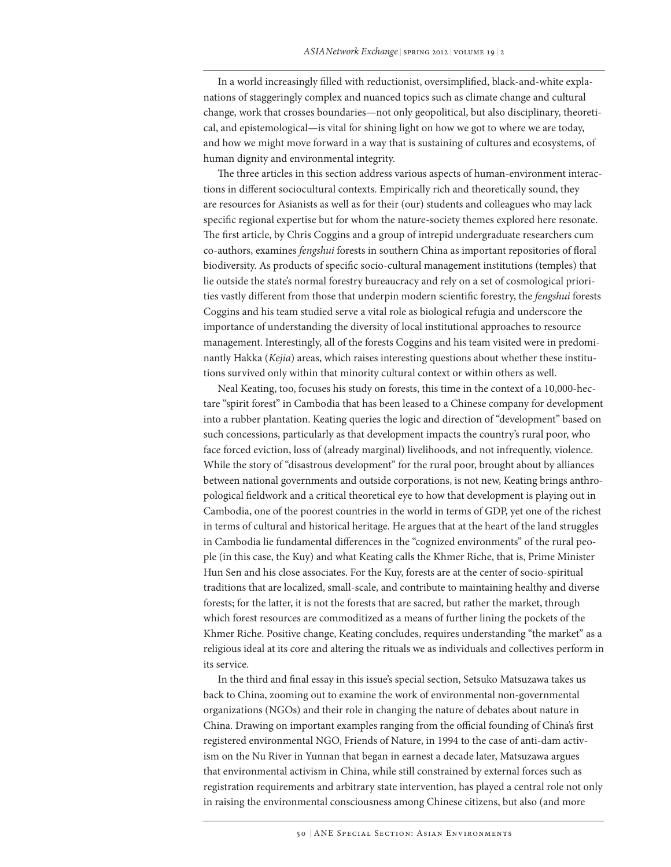In a world increasingly filled with reductionist, oversimplified, black-and-white explanations of staggeringly complex and nuanced topics such as climate change and cultural change, work that crosses boundaries—not only geopolitical, but also disciplinary, theoretical, and epistemological—is vital for shining light on how we got to where we are today, and how we might move forward in a way that is sustaining of cultures and ecosystems, of human dignity and environmental integrity.

The three articles in this section address various aspects of human-environment interactions in different sociocultural contexts. Empirically rich and theoretically sound, they are resources for Asianists as well as for their (our) students and colleagues who may lack specific regional expertise but for whom the nature-society themes explored here resonate. The first article, by Chris Coggins and a group of intrepid undergraduate researchers cum co-authors, examines *fengshui* forests in southern China as important repositories of floral biodiversity. As products of specific socio-cultural management institutions (temples) that lie outside the state's normal forestry bureaucracy and rely on a set of cosmological priorities vastly different from those that underpin modern scientific forestry, the *fengshui* forests Coggins and his team studied serve a vital role as biological refugia and underscore the importance of understanding the diversity of local institutional approaches to resource management. Interestingly, all of the forests Coggins and his team visited were in predominantly Hakka (*Kejia*) areas, which raises interesting questions about whether these institutions survived only within that minority cultural context or within others as well.

Neal Keating, too, focuses his study on forests, this time in the context of a 10,000-hectare "spirit forest" in Cambodia that has been leased to a Chinese company for development into a rubber plantation. Keating queries the logic and direction of "development" based on such concessions, particularly as that development impacts the country's rural poor, who face forced eviction, loss of (already marginal) livelihoods, and not infrequently, violence. While the story of "disastrous development" for the rural poor, brought about by alliances between national governments and outside corporations, is not new, Keating brings anthropological fieldwork and a critical theoretical eye to how that development is playing out in Cambodia, one of the poorest countries in the world in terms of GDP, yet one of the richest in terms of cultural and historical heritage. He argues that at the heart of the land struggles in Cambodia lie fundamental differences in the "cognized environments" of the rural people (in this case, the Kuy) and what Keating calls the Khmer Riche, that is, Prime Minister Hun Sen and his close associates. For the Kuy, forests are at the center of socio-spiritual traditions that are localized, small-scale, and contribute to maintaining healthy and diverse forests; for the latter, it is not the forests that are sacred, but rather the market, through which forest resources are commoditized as a means of further lining the pockets of the Khmer Riche. Positive change, Keating concludes, requires understanding "the market" as a religious ideal at its core and altering the rituals we as individuals and collectives perform in its service.

In the third and final essay in this issue's special section, Setsuko Matsuzawa takes us back to China, zooming out to examine the work of environmental non-governmental organizations (NGOs) and their role in changing the nature of debates about nature in China. Drawing on important examples ranging from the official founding of China's first registered environmental NGO, Friends of Nature, in 1994 to the case of anti-dam activism on the Nu River in Yunnan that began in earnest a decade later, Matsuzawa argues that environmental activism in China, while still constrained by external forces such as registration requirements and arbitrary state intervention, has played a central role not only in raising the environmental consciousness among Chinese citizens, but also (and more